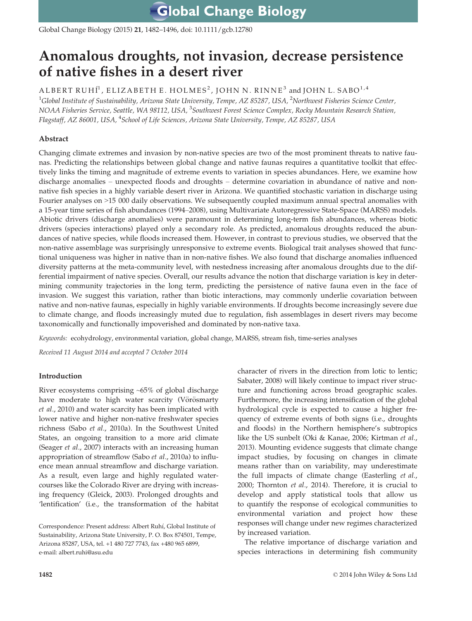**Global Change Biology** 

Global Change Biology (2015) 21, 1482–1496, doi: 10.1111/gcb.12780

# Anomalous droughts, not invasion, decrease persistence of native fishes in a desert river

<code>ALBERT</code> RUH $^{\rm f1}$ , <code>ELIZABETH</code> E. <code>HOLMES $^{\rm 2}$ , JOHN N. <code>RINNE $^{\rm 3}$ </code> and JOHN L. <code>SABO $^{\rm 1,4}$ </code></code>  $^1$ Global Institute of Sustainability, Arizona State University, Tempe, AZ 85287, USA,  $^2$ Northwest Fisheries Science Center, NOAA Fisheries Service, Seattle, WA 98112, USA, <sup>3</sup>Southwest Forest Science Complex, Rocky Mountain Research Station, Flagstaff, AZ 86001, USA, <sup>4</sup>School of Life Sciences, Arizona State University, Tempe, AZ 85287, USA

# Abstract

Changing climate extremes and invasion by non-native species are two of the most prominent threats to native faunas. Predicting the relationships between global change and native faunas requires a quantitative toolkit that effectively links the timing and magnitude of extreme events to variation in species abundances. Here, we examine how discharge anomalies – unexpected floods and droughts – determine covariation in abundance of native and nonnative fish species in a highly variable desert river in Arizona. We quantified stochastic variation in discharge using Fourier analyses on >15 000 daily observations. We subsequently coupled maximum annual spectral anomalies with a 15-year time series of fish abundances (1994–2008), using Multivariate Autoregressive State-Space (MARSS) models. Abiotic drivers (discharge anomalies) were paramount in determining long-term fish abundances, whereas biotic drivers (species interactions) played only a secondary role. As predicted, anomalous droughts reduced the abundances of native species, while floods increased them. However, in contrast to previous studies, we observed that the non-native assemblage was surprisingly unresponsive to extreme events. Biological trait analyses showed that functional uniqueness was higher in native than in non-native fishes. We also found that discharge anomalies influenced diversity patterns at the meta-community level, with nestedness increasing after anomalous droughts due to the differential impairment of native species. Overall, our results advance the notion that discharge variation is key in determining community trajectories in the long term, predicting the persistence of native fauna even in the face of invasion. We suggest this variation, rather than biotic interactions, may commonly underlie covariation between native and non-native faunas, especially in highly variable environments. If droughts become increasingly severe due to climate change, and floods increasingly muted due to regulation, fish assemblages in desert rivers may become taxonomically and functionally impoverished and dominated by non-native taxa.

Keywords: ecohydrology, environmental variation, global change, MARSS, stream fish, time-series analyses

Received 11 August 2014 and accepted 7 October 2014

## Introduction

River ecosystems comprising ~65% of global discharge have moderate to high water scarcity (Vörösmarty et al., 2010) and water scarcity has been implicated with lower native and higher non-native freshwater species richness (Sabo et al., 2010a). In the Southwest United States, an ongoing transition to a more arid climate (Seager et al., 2007) interacts with an increasing human appropriation of streamflow (Sabo et al., 2010a) to influence mean annual streamflow and discharge variation. As a result, even large and highly regulated watercourses like the Colorado River are drying with increasing frequency (Gleick, 2003). Prolonged droughts and 'lentification' (i.e., the transformation of the habitat

character of rivers in the direction from lotic to lentic; Sabater, 2008) will likely continue to impact river structure and functioning across broad geographic scales. Furthermore, the increasing intensification of the global hydrological cycle is expected to cause a higher frequency of extreme events of both signs (i.e., droughts and floods) in the Northern hemisphere's subtropics like the US sunbelt (Oki & Kanae, 2006; Kirtman et al., 2013). Mounting evidence suggests that climate change impact studies, by focusing on changes in climate means rather than on variability, may underestimate the full impacts of climate change (Easterling et al., 2000; Thornton et al., 2014). Therefore, it is crucial to develop and apply statistical tools that allow us to quantify the response of ecological communities to environmental variation and project how these responses will change under new regimes characterized by increased variation.

The relative importance of discharge variation and species interactions in determining fish community

Correspondence: Present address: Albert Ruhí, Global Institute of Sustainability, Arizona State University, P. O. Box 874501, Tempe, Arizona 85287, USA, tel. +1 480 727 7743, fax +480 965 6899, e-mail: albert.ruhi@asu.edu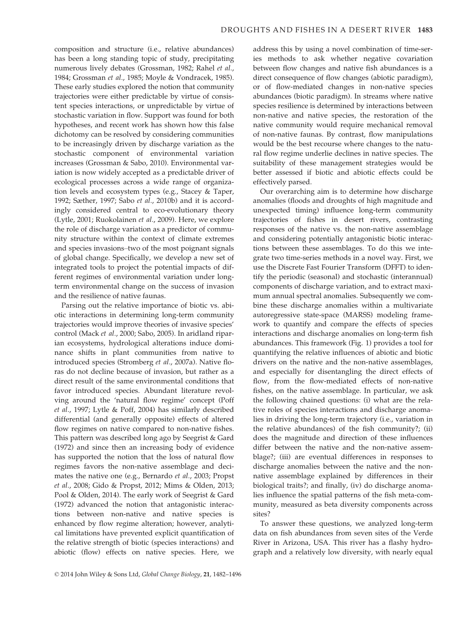composition and structure (i.e., relative abundances) has been a long standing topic of study, precipitating numerous lively debates (Grossman, 1982; Rahel et al., 1984; Grossman et al., 1985; Moyle & Vondracek, 1985). These early studies explored the notion that community trajectories were either predictable by virtue of consistent species interactions, or unpredictable by virtue of stochastic variation in flow. Support was found for both hypotheses, and recent work has shown how this false dichotomy can be resolved by considering communities to be increasingly driven by discharge variation as the stochastic component of environmental variation increases (Grossman & Sabo, 2010). Environmental variation is now widely accepted as a predictable driver of ecological processes across a wide range of organization levels and ecosystem types (e.g., Stacey & Taper, 1992; Sæther, 1997; Sabo et al., 2010b) and it is accordingly considered central to eco-evolutionary theory (Lytle, 2001; Ruokolainen et al., 2009). Here, we explore the role of discharge variation as a predictor of community structure within the context of climate extremes and species invasions–two of the most poignant signals of global change. Specifically, we develop a new set of integrated tools to project the potential impacts of different regimes of environmental variation under longterm environmental change on the success of invasion and the resilience of native faunas.

Parsing out the relative importance of biotic vs. abiotic interactions in determining long-term community trajectories would improve theories of invasive species' control (Mack et al., 2000; Sabo, 2005). In aridland riparian ecosystems, hydrological alterations induce dominance shifts in plant communities from native to introduced species (Stromberg et al., 2007a). Native floras do not decline because of invasion, but rather as a direct result of the same environmental conditions that favor introduced species. Abundant literature revolving around the 'natural flow regime' concept (Poff et al., 1997; Lytle & Poff, 2004) has similarly described differential (and generally opposite) effects of altered flow regimes on native compared to non-native fishes. This pattern was described long ago by Seegrist & Gard (1972) and since then an increasing body of evidence has supported the notion that the loss of natural flow regimes favors the non-native assemblage and decimates the native one (e.g., Bernardo et al., 2003; Propst et al., 2008; Gido & Propst, 2012; Mims & Olden, 2013; Pool & Olden, 2014). The early work of Seegrist & Gard (1972) advanced the notion that antagonistic interactions between non-native and native species is enhanced by flow regime alteration; however, analytical limitations have prevented explicit quantification of the relative strength of biotic (species interactions) and abiotic (flow) effects on native species. Here, we address this by using a novel combination of time-series methods to ask whether negative covariation between flow changes and native fish abundances is a direct consequence of flow changes (abiotic paradigm), or of flow-mediated changes in non-native species abundances (biotic paradigm). In streams where native species resilience is determined by interactions between non-native and native species, the restoration of the native community would require mechanical removal of non-native faunas. By contrast, flow manipulations would be the best recourse where changes to the natural flow regime underlie declines in native species. The suitability of these management strategies would be better assessed if biotic and abiotic effects could be effectively parsed.

Our overarching aim is to determine how discharge anomalies (floods and droughts of high magnitude and unexpected timing) influence long-term community trajectories of fishes in desert rivers, contrasting responses of the native vs. the non-native assemblage and considering potentially antagonistic biotic interactions between these assemblages. To do this we integrate two time-series methods in a novel way. First, we use the Discrete Fast Fourier Transform (DFFT) to identify the periodic (seasonal) and stochastic (interannual) components of discharge variation, and to extract maximum annual spectral anomalies. Subsequently we combine these discharge anomalies within a multivariate autoregressive state-space (MARSS) modeling framework to quantify and compare the effects of species interactions and discharge anomalies on long-term fish abundances. This framework (Fig. 1) provides a tool for quantifying the relative influences of abiotic and biotic drivers on the native and the non-native assemblages, and especially for disentangling the direct effects of flow, from the flow-mediated effects of non-native fishes, on the native assemblage. In particular, we ask the following chained questions: (i) what are the relative roles of species interactions and discharge anomalies in driving the long-term trajectory (i.e., variation in the relative abundances) of the fish community?; (ii) does the magnitude and direction of these influences differ between the native and the non-native assemblage?; (iii) are eventual differences in responses to discharge anomalies between the native and the nonnative assemblage explained by differences in their biological traits?; and finally, (iv) do discharge anomalies influence the spatial patterns of the fish meta-community, measured as beta diversity components across sites?

To answer these questions, we analyzed long-term data on fish abundances from seven sites of the Verde River in Arizona, USA. This river has a flashy hydrograph and a relatively low diversity, with nearly equal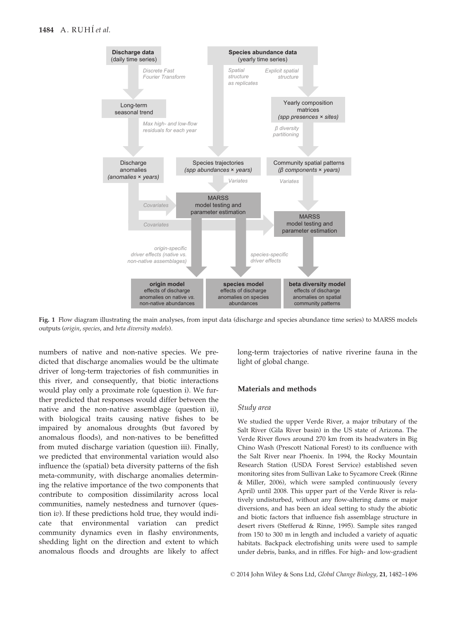

Fig. 1 Flow diagram illustrating the main analyses, from input data (discharge and species abundance time series) to MARSS models outputs (origin, species, and beta diversity models).

numbers of native and non-native species. We predicted that discharge anomalies would be the ultimate driver of long-term trajectories of fish communities in this river, and consequently, that biotic interactions would play only a proximate role (question i). We further predicted that responses would differ between the native and the non-native assemblage (question ii), with biological traits causing native fishes to be impaired by anomalous droughts (but favored by anomalous floods), and non-natives to be benefitted from muted discharge variation (question iii). Finally, we predicted that environmental variation would also influence the (spatial) beta diversity patterns of the fish meta-community, with discharge anomalies determining the relative importance of the two components that contribute to composition dissimilarity across local communities, namely nestedness and turnover (question iv). If these predictions hold true, they would indicate that environmental variation can predict community dynamics even in flashy environments, shedding light on the direction and extent to which anomalous floods and droughts are likely to affect long-term trajectories of native riverine fauna in the light of global change.

### Materials and methods

#### Study area

We studied the upper Verde River, a major tributary of the Salt River (Gila River basin) in the US state of Arizona. The Verde River flows around 270 km from its headwaters in Big Chino Wash (Prescott National Forest) to its confluence with the Salt River near Phoenix. In 1994, the Rocky Mountain Research Station (USDA Forest Service) established seven monitoring sites from Sullivan Lake to Sycamore Creek (Rinne & Miller, 2006), which were sampled continuously (every April) until 2008. This upper part of the Verde River is relatively undisturbed, without any flow-altering dams or major diversions, and has been an ideal setting to study the abiotic and biotic factors that influence fish assemblage structure in desert rivers (Stefferud & Rinne, 1995). Sample sites ranged from 150 to 300 m in length and included a variety of aquatic habitats. Backpack electrofishing units were used to sample under debris, banks, and in riffles. For high- and low-gradient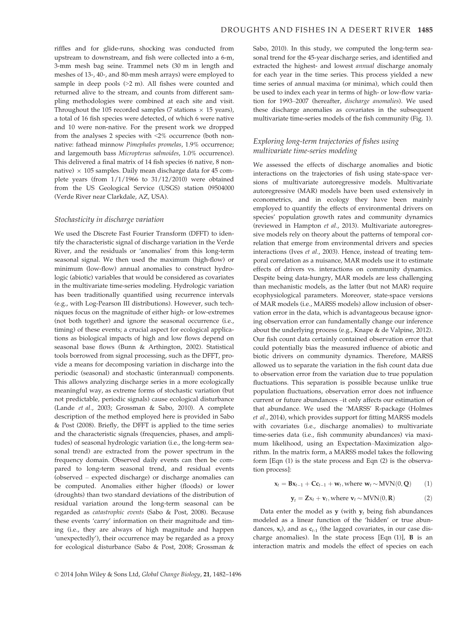riffles and for glide-runs, shocking was conducted from upstream to downstream, and fish were collected into a 6-m, 3-mm mesh bag seine. Trammel nets (30 m in length and meshes of 13-, 40-, and 80-mm mesh arrays) were employed to sample in deep pools (>2 m). All fishes were counted and returned alive to the stream, and counts from different sampling methodologies were combined at each site and visit. Throughout the 105 recorded samples (7 stations  $\times$  15 years), a total of 16 fish species were detected, of which 6 were native and 10 were non-native. For the present work we dropped from the analyses 2 species with <2% occurrence (both nonnative: fathead minnow Pimephales promelas, 1.9% occurrence; and largemouth bass Micropterus salmoides, 1.0% occurrence). This delivered a final matrix of 14 fish species (6 native, 8 nonnative)  $\times$  105 samples. Daily mean discharge data for 45 complete years (from 1/1/1966 to 31/12/2010) were obtained from the US Geological Service (USGS) station 09504000 (Verde River near Clarkdale, AZ, USA).

## Stochasticity in discharge variation

We used the Discrete Fast Fourier Transform (DFFT) to identify the characteristic signal of discharge variation in the Verde River, and the residuals or 'anomalies' from this long-term seasonal signal. We then used the maximum (high-flow) or minimum (low-flow) annual anomalies to construct hydrologic (abiotic) variables that would be considered as covariates in the multivariate time-series modeling. Hydrologic variation has been traditionally quantified using recurrence intervals (e.g., with Log-Pearson III distributions). However, such techniques focus on the magnitude of either high- or low-extremes (not both together) and ignore the seasonal occurrence (i.e., timing) of these events; a crucial aspect for ecological applications as biological impacts of high and low flows depend on seasonal base flows (Bunn & Arthington, 2002). Statistical tools borrowed from signal processing, such as the DFFT, provide a means for decomposing variation in discharge into the periodic (seasonal) and stochastic (interannual) components. This allows analyzing discharge series in a more ecologically meaningful way, as extreme forms of stochastic variation (but not predictable, periodic signals) cause ecological disturbance (Lande et al., 2003; Grossman & Sabo, 2010). A complete description of the method employed here is provided in Sabo & Post (2008). Briefly, the DFFT is applied to the time series and the characteristic signals (frequencies, phases, and amplitudes) of seasonal hydrologic variation (i.e., the long-term seasonal trend) are extracted from the power spectrum in the frequency domain. Observed daily events can then be compared to long-term seasonal trend, and residual events (observed – expected discharge) or discharge anomalies can be computed. Anomalies either higher (floods) or lower (droughts) than two standard deviations of the distribution of residual variation around the long-term seasonal can be regarded as catastrophic events (Sabo & Post, 2008). Because these events 'carry' information on their magnitude and timing (i.e., they are always of high magnitude and happen 'unexpectedly'), their occurrence may be regarded as a proxy for ecological disturbance (Sabo & Post, 2008; Grossman & Sabo, 2010). In this study, we computed the long-term seasonal trend for the 45-year discharge series, and identified and extracted the highest- and lowest annual discharge anomaly for each year in the time series. This process yielded a new time series of annual maxima (or minima), which could then be used to index each year in terms of high- or low-flow variation for 1993–2007 (hereafter, discharge anomalies). We used these discharge anomalies as covariates in the subsequent multivariate time-series models of the fish community (Fig. 1).

# Exploring long-term trajectories of fishes using multivariate time-series modeling

We assessed the effects of discharge anomalies and biotic interactions on the trajectories of fish using state-space versions of multivariate autoregressive models. Multivariate autoregressive (MAR) models have been used extensively in econometrics, and in ecology they have been mainly employed to quantify the effects of environmental drivers on species' population growth rates and community dynamics (reviewed in Hampton et al., 2013). Multivariate autoregressive models rely on theory about the patterns of temporal correlation that emerge from environmental drivers and species interactions (Ives et al., 2003). Hence, instead of treating temporal correlation as a nuisance, MAR models use it to estimate effects of drivers vs. interactions on community dynamics. Despite being data-hungry, MAR models are less challenging than mechanistic models, as the latter (but not MAR) require ecophysiological parameters. Moreover, state-space versions of MAR models (i.e., MARSS models) allow inclusion of observation error in the data, which is advantageous because ignoring observation error can fundamentally change our inference about the underlying process (e.g., Knape & de Valpine, 2012). Our fish count data certainly contained observation error that could potentially bias the measured influence of abiotic and biotic drivers on community dynamics. Therefore, MARSS allowed us to separate the variation in the fish count data due to observation error from the variation due to true population fluctuations. This separation is possible because unlike true population fluctuations, observation error does not influence current or future abundances –it only affects our estimation of that abundance. We used the 'MARSS' R-package (Holmes et al., 2014), which provides support for fitting MARSS models with covariates (i.e., discharge anomalies) to multivariate time-series data (i.e., fish community abundances) via maximum likelihood, using an Expectation–Maximization algorithm. In the matrix form, a MARSS model takes the following form [Eqn (1) is the state process and Eqn (2) is the observation process]:

$$
\mathbf{x}_{t} = \mathbf{B}\mathbf{x}_{t-1} + \mathbf{C}\mathbf{c}_{t-1} + \mathbf{w}_{t}, \text{where } \mathbf{w}_{t} \sim \text{MVN}(0, \mathbf{Q}) \qquad (1)
$$

$$
\mathbf{y}_t = \mathbf{Z} \mathbf{x}_t + \mathbf{v}_t, \text{where } \mathbf{v}_t \sim \text{MVN}(0, \mathbf{R})
$$
 (2)

Data enter the model as  $y$  (with  $y_t$  being fish abundances modeled as a linear function of the 'hidden' or true abundances,  $x_t$ ), and as  $c_{t-1}$  (the lagged covariates, in our case discharge anomalies). In the state process [Eqn  $(1)$ ], **B** is an interaction matrix and models the effect of species on each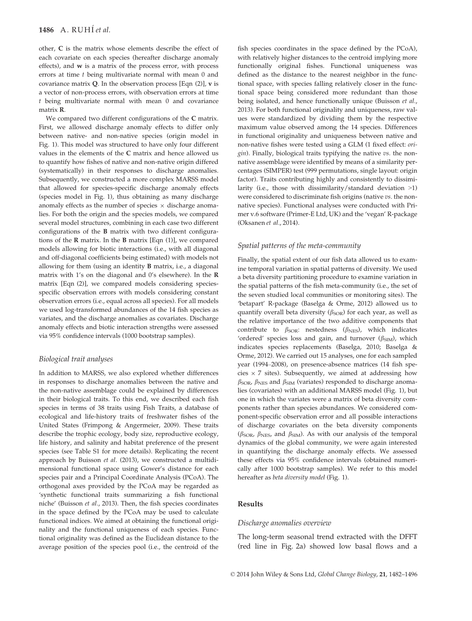other, C is the matrix whose elements describe the effect of each covariate on each species (hereafter discharge anomaly effects), and w is a matrix of the process error, with process errors at time t being multivariate normal with mean 0 and covariance matrix Q. In the observation process [Eqn (2)], v is a vector of non-process errors, with observation errors at time t being multivariate normal with mean 0 and covariance matrix R.

We compared two different configurations of the C matrix. First, we allowed discharge anomaly effects to differ only between native- and non-native species (origin model in Fig. 1). This model was structured to have only four different values in the elements of the C matrix and hence allowed us to quantify how fishes of native and non-native origin differed (systematically) in their responses to discharge anomalies. Subsequently, we constructed a more complex MARSS model that allowed for species-specific discharge anomaly effects (species model in Fig. 1), thus obtaining as many discharge anomaly effects as the number of species  $\times$  discharge anomalies. For both the origin and the species models, we compared several model structures, combining in each case two different configurations of the B matrix with two different configurations of the  $R$  matrix. In the  $B$  matrix [Eqn  $(1)$ ], we compared models allowing for biotic interactions (i.e., with all diagonal and off-diagonal coefficients being estimated) with models not allowing for them (using an identity B matrix, i.e., a diagonal matrix with 1's on the diagonal and 0's elsewhere). In the R matrix [Eqn (2)], we compared models considering speciesspecific observation errors with models considering constant observation errors (i.e., equal across all species). For all models we used log-transformed abundances of the 14 fish species as variates, and the discharge anomalies as covariates. Discharge anomaly effects and biotic interaction strengths were assessed via 95% confidence intervals (1000 bootstrap samples).

#### Biological trait analyses

In addition to MARSS, we also explored whether differences in responses to discharge anomalies between the native and the non-native assemblage could be explained by differences in their biological traits. To this end, we described each fish species in terms of 38 traits using Fish Traits, a database of ecological and life-history traits of freshwater fishes of the United States (Frimpong & Angermeier, 2009). These traits describe the trophic ecology, body size, reproductive ecology, life history, and salinity and habitat preference of the present species (see Table S1 for more details). Replicating the recent approach by Buisson et al. (2013), we constructed a multidimensional functional space using Gower's distance for each species pair and a Principal Coordinate Analysis (PCoA). The orthogonal axes provided by the PCoA may be regarded as 'synthetic functional traits summarizing a fish functional niche' (Buisson et al., 2013). Then, the fish species coordinates in the space defined by the PCoA may be used to calculate functional indices. We aimed at obtaining the functional originality and the functional uniqueness of each species. Functional originality was defined as the Euclidean distance to the average position of the species pool (i.e., the centroid of the

fish species coordinates in the space defined by the PCoA), with relatively higher distances to the centroid implying more functionally original fishes. Functional uniqueness was defined as the distance to the nearest neighbor in the functional space, with species falling relatively closer in the functional space being considered more redundant than those being isolated, and hence functionally unique (Buisson et al., 2013). For both functional originality and uniqueness, raw values were standardized by dividing them by the respective maximum value observed among the 14 species. Differences in functional originality and uniqueness between native and non-native fishes were tested using a GLM (1 fixed effect: ori $gin$ ). Finally, biological traits typifying the native  $vs.$  the nonnative assemblage were identified by means of a similarity percentages (SIMPER) test (999 permutations, single layout: origin factor). Traits contributing highly and consistently to dissimilarity (i.e., those with dissimilarity/standard deviation >1) were considered to discriminate fish origins (native vs. the nonnative species). Functional analyses were conducted with Primer v.6 software (Primer-E Ltd, UK) and the 'vegan' R-package (Oksanen et al., 2014).

### Spatial patterns of the meta-community

Finally, the spatial extent of our fish data allowed us to examine temporal variation in spatial patterns of diversity. We used a beta diversity partitioning procedure to examine variation in the spatial patterns of the fish meta-community (i.e., the set of the seven studied local communities or monitoring sites). The 'betapart' R-package (Baselga & Orme, 2012) allowed us to quantify overall beta diversity ( $\beta_{\text{SOR}}$ ) for each year, as well as the relative importance of the two additive components that contribute to  $\beta_{\text{SOR}}$ : nestedness  $(\beta_{\text{NES}})$ , which indicates 'ordered' species loss and gain, and turnover  $(\beta_{SIM})$ , which indicates species replacements (Baselga, 2010; Baselga & Orme, 2012). We carried out 15 analyses, one for each sampled year (1994–2008), on presence-absence matrices (14 fish species  $\times$  7 sites). Subsequently, we aimed at addressing how  $\beta_{\text{SOR}}$ ,  $\beta_{\text{NES}}$  and  $\beta_{\text{SIM}}$  (variates) responded to discharge anomalies (covariates) with an additional MARSS model (Fig. 1), but one in which the variates were a matrix of beta diversity components rather than species abundances. We considered component-specific observation error and all possible interactions of discharge covariates on the beta diversity components ( $\beta_{\text{SOR}}$ ,  $\beta_{\text{NES}}$ , and  $\beta_{\text{SIM}}$ ). As with our analysis of the temporal dynamics of the global community, we were again interested in quantifying the discharge anomaly effects. We assessed these effects via 95% confidence intervals (obtained numerically after 1000 bootstrap samples). We refer to this model hereafter as beta diversity model (Fig. 1).

### Results

#### Discharge anomalies overview

The long-term seasonal trend extracted with the DFFT (red line in Fig. 2a) showed low basal flows and a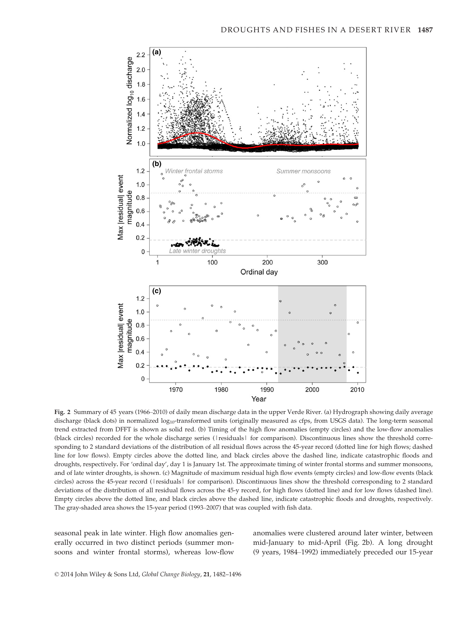

Fig. 2 Summary of 45 years (1966–2010) of daily mean discharge data in the upper Verde River. (a) Hydrograph showing daily average discharge (black dots) in normalized log<sub>10</sub>-transformed units (originally measured as cfps, from USGS data). The long-term seasonal trend extracted from DFFT is shown as solid red. (b) Timing of the high flow anomalies (empty circles) and the low-flow anomalies (black circles) recorded for the whole discharge series (|residuals| for comparison). Discontinuous lines show the threshold corresponding to 2 standard deviations of the distribution of all residual flows across the 45-year record (dotted line for high flows; dashed line for low flows). Empty circles above the dotted line, and black circles above the dashed line, indicate catastrophic floods and droughts, respectively. For 'ordinal day', day 1 is January 1st. The approximate timing of winter frontal storms and summer monsoons, and of late winter droughts, is shown. (c) Magnitude of maximum residual high flow events (empty circles) and low-flow events (black circles) across the 45-year record (|residuals| for comparison). Discontinuous lines show the threshold corresponding to 2 standard deviations of the distribution of all residual flows across the 45-y record, for high flows (dotted line) and for low flows (dashed line). Empty circles above the dotted line, and black circles above the dashed line, indicate catastrophic floods and droughts, respectively. The gray-shaded area shows the 15-year period (1993–2007) that was coupled with fish data.

seasonal peak in late winter. High flow anomalies generally occurred in two distinct periods (summer monsoons and winter frontal storms), whereas low-flow anomalies were clustered around later winter, between mid-January to mid-April (Fig. 2b). A long drought (9 years, 1984–1992) immediately preceded our 15-year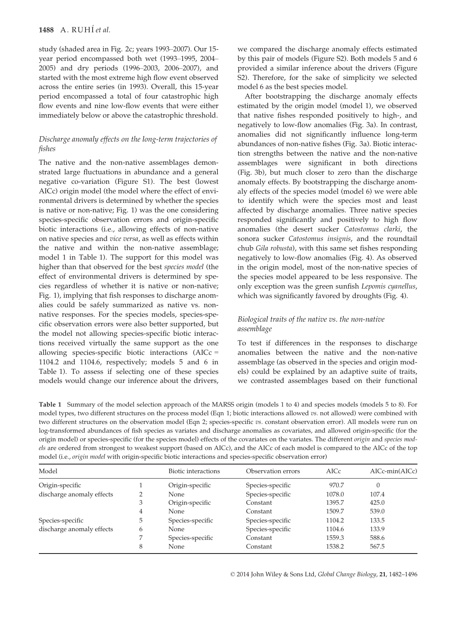study (shaded area in Fig. 2c; years 1993–2007). Our 15 year period encompassed both wet (1993–1995, 2004– 2005) and dry periods (1996–2003, 2006–2007), and started with the most extreme high flow event observed across the entire series (in 1993). Overall, this 15-year period encompassed a total of four catastrophic high flow events and nine low-flow events that were either immediately below or above the catastrophic threshold.

# Discharge anomaly effects on the long-term trajectories of fishes

The native and the non-native assemblages demonstrated large fluctuations in abundance and a general negative co-variation (Figure S1). The best (lowest AICc) origin model (the model where the effect of environmental drivers is determined by whether the species is native or non-native; Fig. 1) was the one considering species-specific observation errors and origin-specific biotic interactions (i.e., allowing effects of non-native on native species and vice versa, as well as effects within the native and within the non-native assemblage; model 1 in Table 1). The support for this model was higher than that observed for the best species model (the effect of environmental drivers is determined by species regardless of whether it is native or non-native; Fig. 1), implying that fish responses to discharge anomalies could be safely summarized as native vs. nonnative responses. For the species models, species-specific observation errors were also better supported, but the model not allowing species-specific biotic interactions received virtually the same support as the one allowing species-specific biotic interactions (AICc = 1104.2 and 1104.6, respectively; models 5 and 6 in Table 1). To assess if selecting one of these species models would change our inference about the drivers,

we compared the discharge anomaly effects estimated by this pair of models (Figure S2). Both models 5 and 6 provided a similar inference about the drivers (Figure S2). Therefore, for the sake of simplicity we selected model 6 as the best species model.

After bootstrapping the discharge anomaly effects estimated by the origin model (model 1), we observed that native fishes responded positively to high-, and negatively to low-flow anomalies (Fig. 3a). In contrast, anomalies did not significantly influence long-term abundances of non-native fishes (Fig. 3a). Biotic interaction strengths between the native and the non-native assemblages were significant in both directions (Fig. 3b), but much closer to zero than the discharge anomaly effects. By bootstrapping the discharge anomaly effects of the species model (model 6) we were able to identify which were the species most and least affected by discharge anomalies. Three native species responded significantly and positively to high flow anomalies (the desert sucker Catostomus clarki, the sonora sucker Catostomus insignis, and the roundtail chub Gila robusta), with this same set fishes responding negatively to low-flow anomalies (Fig. 4). As observed in the origin model, most of the non-native species of the species model appeared to be less responsive. The only exception was the green sunfish Lepomis cyanellus, which was significantly favored by droughts (Fig. 4).

# Biological traits of the native vs. the non-native assemblage

To test if differences in the responses to discharge anomalies between the native and the non-native assemblage (as observed in the species and origin models) could be explained by an adaptive suite of traits, we contrasted assemblages based on their functional

Table 1 Summary of the model selection approach of the MARSS origin (models 1 to 4) and species models (models 5 to 8). For model types, two different structures on the process model (Eqn 1; biotic interactions allowed vs. not allowed) were combined with two different structures on the observation model (Eqn 2; species-specific vs. constant observation error). All models were run on log-transformed abundances of fish species as variates and discharge anomalies as covariates, and allowed origin-specific (for the origin model) or species-specific (for the species model) effects of the covariates on the variates. The different origin and species models are ordered from strongest to weakest support (based on AICc), and the AICc of each model is compared to the AICc of the top model (i.e., origin model with origin-specific biotic interactions and species-specific observation error)

| Model                     |   | <b>Biotic interactions</b> | Observation errors | AICc   | AICc-min(AICc) |
|---------------------------|---|----------------------------|--------------------|--------|----------------|
| Origin-specific           |   | Origin-specific            | Species-specific   | 970.7  |                |
| discharge anomaly effects | っ | None                       | Species-specific   | 1078.0 | 107.4          |
|                           | 3 | Origin-specific            | Constant           | 1395.7 | 425.0          |
|                           | 4 | None                       | Constant           | 1509.7 | 539.0          |
| Species-specific          | 5 | Species-specific           | Species-specific   | 1104.2 | 133.5          |
| discharge anomaly effects | 6 | None                       | Species-specific   | 1104.6 | 133.9          |
|                           | 7 | Species-specific           | Constant           | 1559.3 | 588.6          |
|                           | 8 | None                       | Constant           | 1538.2 | 567.5          |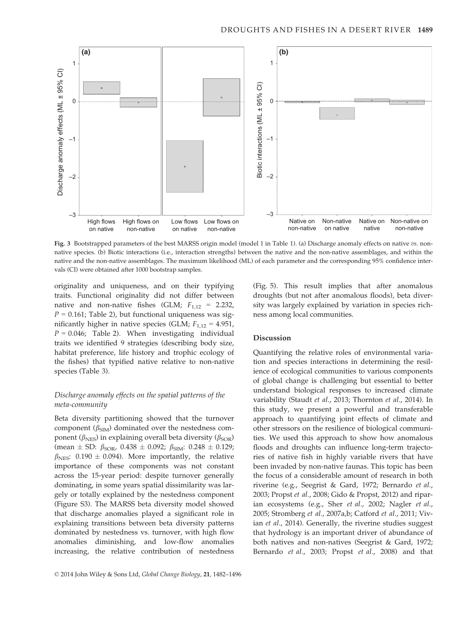

Fig. 3 Bootstrapped parameters of the best MARSS origin model (model 1 in Table 1). (a) Discharge anomaly effects on native vs. nonnative species. (b) Biotic interactions (i.e., interaction strengths) between the native and the non-native assemblages, and within the native and the non-native assemblages. The maximum likelihood (ML) of each parameter and the corresponding 95% confidence intervals (CI) were obtained after 1000 bootstrap samples.

originality and uniqueness, and on their typifying traits. Functional originality did not differ between native and non-native fishes (GLM;  $F_{1,12} = 2.232$ ,  $P = 0.161$ ; Table 2), but functional uniqueness was significantly higher in native species (GLM;  $F_{1,12} = 4.951$ ,  $P = 0.046$ ; Table 2). When investigating individual traits we identified 9 strategies (describing body size, habitat preference, life history and trophic ecology of the fishes) that typified native relative to non-native species (Table 3).

# Discharge anomaly effects on the spatial patterns of the meta-community

Beta diversity partitioning showed that the turnover component ( $\beta_{\text{SIM}}$ ) dominated over the nestedness component ( $\beta_{\text{NES}}$ ) in explaining overall beta diversity ( $\beta_{\text{SOR}}$ ) (mean  $\pm$  SD:  $\beta_{\text{SOR}}$ , 0.438  $\pm$  0.092;  $\beta_{\text{SIM}}$ : 0.248  $\pm$  0.129;  $\beta$ <sub>NES</sub>: 0.190  $\pm$  0.094). More importantly, the relative importance of these components was not constant across the 15-year period: despite turnover generally dominating, in some years spatial dissimilarity was largely or totally explained by the nestedness component (Figure S3). The MARSS beta diversity model showed that discharge anomalies played a significant role in explaining transitions between beta diversity patterns dominated by nestedness vs. turnover, with high flow anomalies diminishing, and low-flow anomalies increasing, the relative contribution of nestedness (Fig. 5). This result implies that after anomalous droughts (but not after anomalous floods), beta diversity was largely explained by variation in species richness among local communities.

## Discussion

Quantifying the relative roles of environmental variation and species interactions in determining the resilience of ecological communities to various components of global change is challenging but essential to better understand biological responses to increased climate variability (Staudt et al., 2013; Thornton et al., 2014). In this study, we present a powerful and transferable approach to quantifying joint effects of climate and other stressors on the resilience of biological communities. We used this approach to show how anomalous floods and droughts can influence long-term trajectories of native fish in highly variable rivers that have been invaded by non-native faunas. This topic has been the focus of a considerable amount of research in both riverine (e.g., Seegrist & Gard, 1972; Bernardo et al., 2003; Propst et al., 2008; Gido & Propst, 2012) and riparian ecosystems (e.g., Sher et al., 2002; Nagler et al., 2005; Stromberg et al., 2007a,b; Catford et al., 2011; Vivian *et al.*, 2014). Generally, the riverine studies suggest that hydrology is an important driver of abundance of both natives and non-natives (Seegrist & Gard, 1972; Bernardo et al., 2003; Propst et al., 2008) and that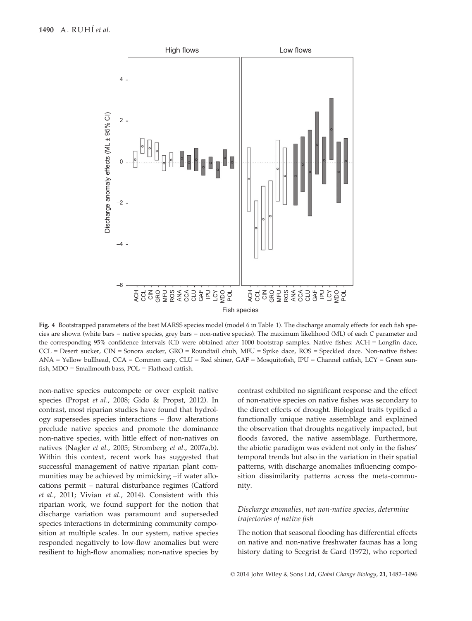

Fig. 4 Bootstrapped parameters of the best MARSS species model (model 6 in Table 1). The discharge anomaly effects for each fish species are shown (white bars = native species, grey bars = non-native species). The maximum likelihood (ML) of each C parameter and the corresponding 95% confidence intervals (CI) were obtained after 1000 bootstrap samples. Native fishes: ACH = Longfin dace, CCL = Desert sucker, CIN = Sonora sucker, GRO = Roundtail chub, MFU = Spike dace, ROS = Speckled dace. Non-native fishes:  $ANA = Yellow$  bullhead,  $CCA =$  Common carp,  $CLU = Red$  shiner,  $GAF =$  Mosquitofish,  $IPU =$  Channel catfish,  $LCY =$  Green sunfish,  $MDO = Smallmouth$  bass,  $POL = Flathead$  catfish.

non-native species outcompete or over exploit native species (Propst et al., 2008; Gido & Propst, 2012). In contrast, most riparian studies have found that hydrology supersedes species interactions – flow alterations preclude native species and promote the dominance non-native species, with little effect of non-natives on natives (Nagler et al., 2005; Stromberg et al., 2007a,b). Within this context, recent work has suggested that successful management of native riparian plant communities may be achieved by mimicking –if water allocations permit – natural disturbance regimes (Catford et al., 2011; Vivian et al., 2014). Consistent with this riparian work, we found support for the notion that discharge variation was paramount and superseded species interactions in determining community composition at multiple scales. In our system, native species responded negatively to low-flow anomalies but were resilient to high-flow anomalies; non-native species by contrast exhibited no significant response and the effect of non-native species on native fishes was secondary to the direct effects of drought. Biological traits typified a functionally unique native assemblage and explained the observation that droughts negatively impacted, but floods favored, the native assemblage. Furthermore, the abiotic paradigm was evident not only in the fishes' temporal trends but also in the variation in their spatial patterns, with discharge anomalies influencing composition dissimilarity patterns across the meta-community.

## Discharge anomalies, not non-native species, determine trajectories of native fish

The notion that seasonal flooding has differential effects on native and non-native freshwater faunas has a long history dating to Seegrist & Gard (1972), who reported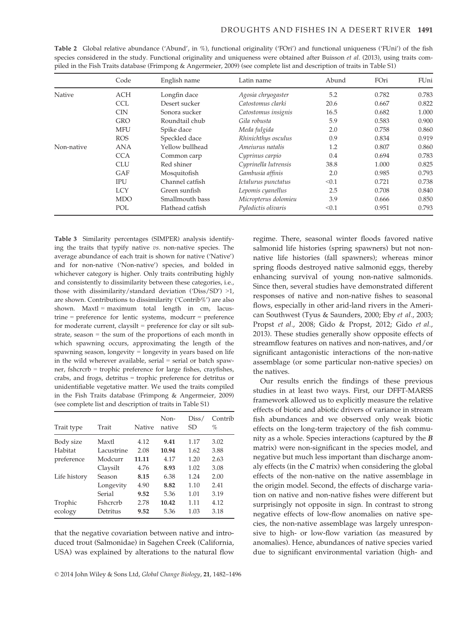|            | Code       | English name     | Latin name                   | Abund | FOri  | FUni  |
|------------|------------|------------------|------------------------------|-------|-------|-------|
| Native     | <b>ACH</b> | Longfin dace     | Agosia chryogaster           | 5.2   | 0.782 | 0.783 |
|            | <b>CCL</b> | Desert sucker    | Catostomus clarki            | 20.6  | 0.667 | 0.822 |
|            | <b>CIN</b> | Sonora sucker    | Catostomus insignis          | 16.5  | 0.682 | 1.000 |
|            | <b>GRO</b> | Roundtail chub   | Gila robusta                 | 5.9   | 0.583 | 0.900 |
|            | <b>MFU</b> | Spike dace       | Meda fulgida                 | 2.0   | 0.758 | 0.860 |
|            | <b>ROS</b> | Speckled dace    | Rhinichthys osculus          | 0.9   | 0.834 | 0.919 |
| Non-native | <b>ANA</b> | Yellow bullhead  | Ameiurus natalis             | 1.2   | 0.807 | 0.860 |
|            | <b>CCA</b> | Common carp      | Cyprinus carpio              | 0.4   | 0.694 | 0.783 |
|            | <b>CLU</b> | Red shiner       | Cyprinella lutrensis<br>38.8 | 1.000 | 0.825 |       |
|            | <b>GAF</b> | Mosquitofish     | Gambusia affinis             | 2.0   | 0.985 | 0.793 |
|            | <b>IPU</b> | Channel catfish  | Ictalurus punctatus          | < 0.1 | 0.721 | 0.738 |
|            | <b>LCY</b> | Green sunfish    | Lepomis cyanellus            | 2.5   | 0.708 | 0.840 |
|            | <b>MDO</b> | Smallmouth bass  | Micropterus dolomieu         | 3.9   | 0.666 | 0.850 |
|            | POL        | Flathead catfish | Pylodictis olivaris          | < 0.1 | 0.951 | 0.793 |

Table 2 Global relative abundance ('Abund', in %), functional originality ('FOri') and functional uniqueness ('FUni') of the fish species considered in the study. Functional originality and uniqueness were obtained after Buisson  $et$  al. (2013), using traits compiled in the Fish Traits database (Frimpong & Angermeier, 2009) (see complete list and description of traits in Table S1)

Table 3 Similarity percentages (SIMPER) analysis identifying the traits that typify native  $vs.$  non-native species. The average abundance of each trait is shown for native ('Native') and for non-native ('Non-native') species, and bolded in whichever category is higher. Only traits contributing highly and consistently to dissimilarity between these categories, i.e., those with dissimilarity/standard deviation ('Diss/SD') >1, are shown. Contributions to dissimilarity ('Contrib%') are also shown. Maxtl = maximum total length in  $cm$ , lacustrine = preference for lentic systems, modcurr = preference for moderate current, claysilt = preference for clay or silt substrate, season = the sum of the proportions of each month in which spawning occurs, approximating the length of the spawning season, longevity  $=$  longevity in years based on life in the wild wherever available, serial  $=$  serial or batch spawner, fshcrcrb = trophic preference for large fishes, crayfishes, crabs, and frogs, detritus = trophic preference for detritus or unidentifiable vegetative matter. We used the traits compiled in the Fish Traits database (Frimpong & Angermeier, 2009) (see complete list and description of traits in Table S1)

| Trait type   | Trait           | Native | Non-<br>native | $_{\rm{Diss}}/$<br>SD | Contrib<br>$\%$ |
|--------------|-----------------|--------|----------------|-----------------------|-----------------|
| Body size    | Maxtl           | 4.12   | 9.41           | 1.17                  | 3.02            |
| Habitat      | Lacustrine      | 2.08   | 10.94          | 1.62                  | 3.88            |
| preference   | Modcurr         | 11.11  | 4.17           | 1.20                  | 2.63            |
|              | Claysilt        | 4.76   | 8.93           | 1.02                  | 3.08            |
| Life history | Season          | 8.15   | 6.38           | 1.24                  | 2.00            |
|              | Longevity       | 4.90   | 8.82           | 1.10                  | 2.41            |
|              | Serial          | 9.52   | 5.36           | 1.01                  | 3.19            |
| Trophic      | <b>Fshcrcrb</b> | 2.78   | 10.42          | 1.11                  | 4.12            |
| ecology      | Detritus        | 9.52   | 5.36           | 1.03                  | 3.18            |

that the negative covariation between native and introduced trout (Salmonidae) in Sagehen Creek (California, USA) was explained by alterations to the natural flow regime. There, seasonal winter floods favored native salmonid life histories (spring spawners) but not nonnative life histories (fall spawners); whereas minor spring floods destroyed native salmonid eggs, thereby enhancing survival of young non-native salmonids. Since then, several studies have demonstrated different responses of native and non-native fishes to seasonal flows, especially in other arid-land rivers in the American Southwest (Tyus & Saunders, 2000; Eby et al., 2003; Propst et al., 2008; Gido & Propst, 2012; Gido et al., 2013). These studies generally show opposite effects of streamflow features on natives and non-natives, and/or significant antagonistic interactions of the non-native assemblage (or some particular non-native species) on the natives.

Our results enrich the findings of these previous studies in at least two ways. First, our DFFT-MARSS framework allowed us to explicitly measure the relative effects of biotic and abiotic drivers of variance in stream fish abundances and we observed only weak biotic effects on the long-term trajectory of the fish community as a whole. Species interactions (captured by the B matrix) were non-significant in the species model, and negative but much less important than discharge anomaly effects (in the  $C$  matrix) when considering the global effects of the non-native on the native assemblage in the origin model. Second, the effects of discharge variation on native and non-native fishes were different but surprisingly not opposite in sign. In contrast to strong negative effects of low-flow anomalies on native species, the non-native assemblage was largely unresponsive to high- or low-flow variation (as measured by anomalies). Hence, abundances of native species varied due to significant environmental variation (high- and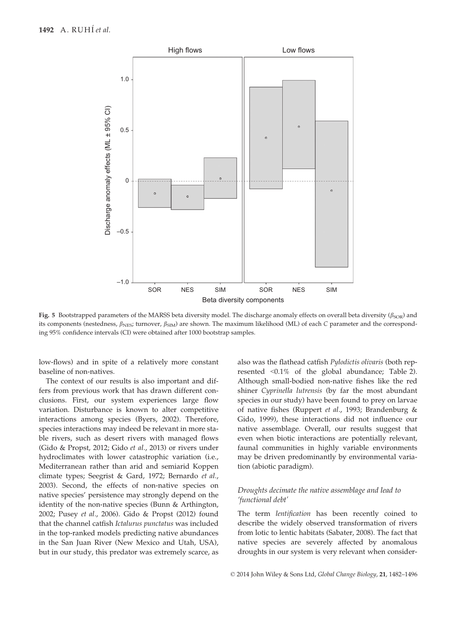

Fig. 5 Bootstrapped parameters of the MARSS beta diversity model. The discharge anomaly effects on overall beta diversity ( $\beta_{\text{SOR}}$ ) and its components (nestedness,  $\beta_{\text{NES}}$ ; turnover,  $\beta_{\text{SIM}}$ ) are shown. The maximum likelihood (ML) of each C parameter and the corresponding 95% confidence intervals (CI) were obtained after 1000 bootstrap samples.

low-flows) and in spite of a relatively more constant baseline of non-natives.

The context of our results is also important and differs from previous work that has drawn different conclusions. First, our system experiences large flow variation. Disturbance is known to alter competitive interactions among species (Byers, 2002). Therefore, species interactions may indeed be relevant in more stable rivers, such as desert rivers with managed flows (Gido & Propst, 2012; Gido et al., 2013) or rivers under hydroclimates with lower catastrophic variation (i.e., Mediterranean rather than arid and semiarid Koppen climate types; Seegrist & Gard, 1972; Bernardo et al., 2003). Second, the effects of non-native species on native species' persistence may strongly depend on the identity of the non-native species (Bunn & Arthington, 2002; Pusey et al., 2006). Gido & Propst (2012) found that the channel catfish Ictalurus punctatus was included in the top-ranked models predicting native abundances in the San Juan River (New Mexico and Utah, USA), but in our study, this predator was extremely scarce, as

also was the flathead catfish Pylodictis olivaris (both represented <0.1% of the global abundance; Table 2). Although small-bodied non-native fishes like the red shiner Cyprinella lutrensis (by far the most abundant species in our study) have been found to prey on larvae of native fishes (Ruppert et al., 1993; Brandenburg & Gido, 1999), these interactions did not influence our native assemblage. Overall, our results suggest that even when biotic interactions are potentially relevant, faunal communities in highly variable environments may be driven predominantly by environmental variation (abiotic paradigm).

## Droughts decimate the native assemblage and lead to 'functional debt'

The term *lentification* has been recently coined to describe the widely observed transformation of rivers from lotic to lentic habitats (Sabater, 2008). The fact that native species are severely affected by anomalous droughts in our system is very relevant when consider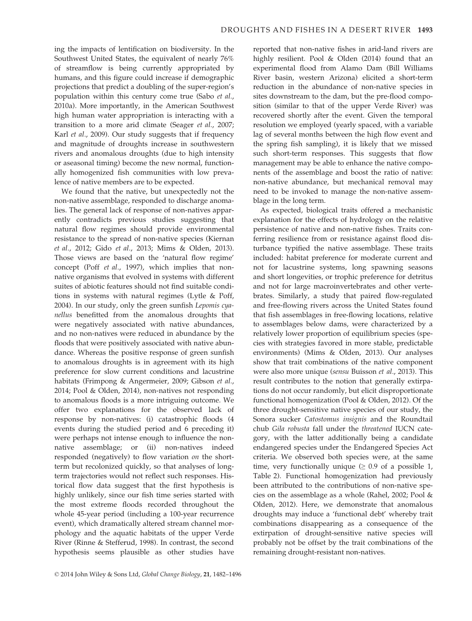ing the impacts of lentification on biodiversity. In the Southwest United States, the equivalent of nearly 76% of streamflow is being currently appropriated by humans, and this figure could increase if demographic projections that predict a doubling of the super-region's population within this century come true (Sabo et al., 2010a). More importantly, in the American Southwest high human water appropriation is interacting with a transition to a more arid climate (Seager et al., 2007; Karl et al., 2009). Our study suggests that if frequency and magnitude of droughts increase in southwestern rivers and anomalous droughts (due to high intensity or aseasonal timing) become the new normal, functionally homogenized fish communities with low prevalence of native members are to be expected.

We found that the native, but unexpectedly not the non-native assemblage, responded to discharge anomalies. The general lack of response of non-natives apparently contradicts previous studies suggesting that natural flow regimes should provide environmental resistance to the spread of non-native species (Kiernan et al., 2012; Gido et al., 2013; Mims & Olden, 2013). Those views are based on the 'natural flow regime' concept (Poff et al., 1997), which implies that nonnative organisms that evolved in systems with different suites of abiotic features should not find suitable conditions in systems with natural regimes (Lytle & Poff, 2004). In our study, only the green sunfish Lepomis cyanellus benefitted from the anomalous droughts that were negatively associated with native abundances, and no non-natives were reduced in abundance by the floods that were positively associated with native abundance. Whereas the positive response of green sunfish to anomalous droughts is in agreement with its high preference for slow current conditions and lacustrine habitats (Frimpong & Angermeier, 2009; Gibson et al., 2014; Pool & Olden, 2014), non-natives not responding to anomalous floods is a more intriguing outcome. We offer two explanations for the observed lack of response by non-natives: (i) catastrophic floods (4 events during the studied period and 6 preceding it) were perhaps not intense enough to influence the nonnative assemblage; or (ii) non-natives indeed responded (negatively) to flow variation on the shortterm but recolonized quickly, so that analyses of longterm trajectories would not reflect such responses. Historical flow data suggest that the first hypothesis is highly unlikely, since our fish time series started with the most extreme floods recorded throughout the whole 45-year period (including a 100-year recurrence event), which dramatically altered stream channel morphology and the aquatic habitats of the upper Verde River (Rinne & Stefferud, 1998). In contrast, the second hypothesis seems plausible as other studies have reported that non-native fishes in arid-land rivers are highly resilient. Pool & Olden (2014) found that an experimental flood from Alamo Dam (Bill Williams River basin, western Arizona) elicited a short-term reduction in the abundance of non-native species in sites downstream to the dam, but the pre-flood composition (similar to that of the upper Verde River) was recovered shortly after the event. Given the temporal resolution we employed (yearly spaced, with a variable lag of several months between the high flow event and the spring fish sampling), it is likely that we missed such short-term responses. This suggests that flow management may be able to enhance the native components of the assemblage and boost the ratio of native: non-native abundance, but mechanical removal may need to be invoked to manage the non-native assemblage in the long term.

As expected, biological traits offered a mechanistic explanation for the effects of hydrology on the relative persistence of native and non-native fishes. Traits conferring resilience from or resistance against flood disturbance typified the native assemblage. These traits included: habitat preference for moderate current and not for lacustrine systems, long spawning seasons and short longevities, or trophic preference for detritus and not for large macroinvertebrates and other vertebrates. Similarly, a study that paired flow-regulated and free-flowing rivers across the United States found that fish assemblages in free-flowing locations, relative to assemblages below dams, were characterized by a relatively lower proportion of equilibrium species (species with strategies favored in more stable, predictable environments) (Mims & Olden, 2013). Our analyses show that trait combinations of the native component were also more unique (sensu Buisson et al., 2013). This result contributes to the notion that generally extirpations do not occur randomly, but elicit disproportionate functional homogenization (Pool & Olden, 2012). Of the three drought-sensitive native species of our study, the Sonora sucker Catostomus insignis and the Roundtail chub Gila robusta fall under the threatened IUCN category, with the latter additionally being a candidate endangered species under the Endangered Species Act criteria. We observed both species were, at the same time, very functionally unique  $(≥ 0.9$  of a possible 1, Table 2). Functional homogenization had previously been attributed to the contributions of non-native species on the assemblage as a whole (Rahel, 2002; Pool & Olden, 2012). Here, we demonstrate that anomalous droughts may induce a 'functional debt' whereby trait combinations disappearing as a consequence of the extirpation of drought-sensitive native species will probably not be offset by the trait combinations of the remaining drought-resistant non-natives.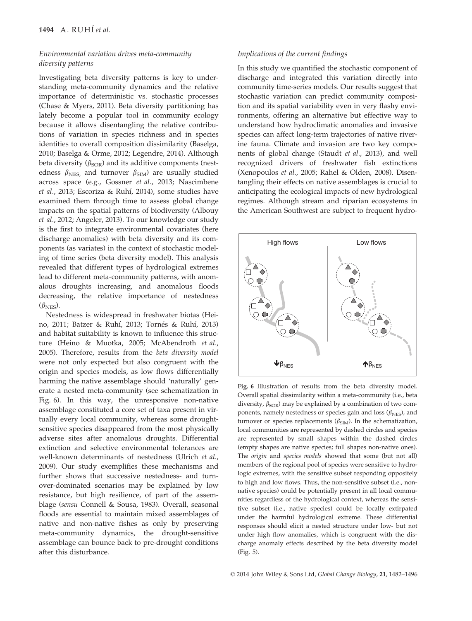# Environmental variation drives meta-community diversity patterns

Investigating beta diversity patterns is key to understanding meta-community dynamics and the relative importance of deterministic vs. stochastic processes (Chase & Myers, 2011). Beta diversity partitioning has lately become a popular tool in community ecology because it allows disentangling the relative contributions of variation in species richness and in species identities to overall composition dissimilarity (Baselga, 2010; Baselga & Orme, 2012; Legendre, 2014). Although beta diversity ( $\beta_{\text{SOR}}$ ) and its additive components (nestedness  $\beta_{\text{NES}}$ , and turnover  $\beta_{\text{SIM}}$ ) are usually studied across space (e.g., Gossner et al., 2013; Nascimbene et al., 2013; Escoriza & Ruhí, 2014), some studies have examined them through time to assess global change impacts on the spatial patterns of biodiversity (Albouy et al., 2012; Angeler, 2013). To our knowledge our study is the first to integrate environmental covariates (here discharge anomalies) with beta diversity and its components (as variates) in the context of stochastic modeling of time series (beta diversity model). This analysis revealed that different types of hydrological extremes lead to different meta-community patterns, with anomalous droughts increasing, and anomalous floods decreasing, the relative importance of nestedness  $(\beta_{NFS})$ .

Nestedness is widespread in freshwater biotas (Heino, 2011; Batzer & Ruhí, 2013; Tornés & Ruhí, 2013) and habitat suitability is known to influence this structure (Heino & Muotka, 2005; McAbendroth et al., 2005). Therefore, results from the beta diversity model were not only expected but also congruent with the origin and species models, as low flows differentially harming the native assemblage should 'naturally' generate a nested meta-community (see schematization in Fig. 6). In this way, the unresponsive non-native assemblage constituted a core set of taxa present in virtually every local community, whereas some droughtsensitive species disappeared from the most physically adverse sites after anomalous droughts. Differential extinction and selective environmental tolerances are well-known determinants of nestedness (Ulrich et al., 2009). Our study exemplifies these mechanisms and further shows that successive nestedness- and turnover-dominated scenarios may be explained by low resistance, but high resilience, of part of the assemblage (sensu Connell & Sousa, 1983). Overall, seasonal floods are essential to maintain mixed assemblages of native and non-native fishes as only by preserving meta-community dynamics, the drought-sensitive assemblage can bounce back to pre-drought conditions after this disturbance.

## Implications of the current findings

In this study we quantified the stochastic component of discharge and integrated this variation directly into community time-series models. Our results suggest that stochastic variation can predict community composition and its spatial variability even in very flashy environments, offering an alternative but effective way to understand how hydroclimatic anomalies and invasive species can affect long-term trajectories of native riverine fauna. Climate and invasion are two key components of global change (Staudt et al., 2013), and well recognized drivers of freshwater fish extinctions (Xenopoulos et al., 2005; Rahel & Olden, 2008). Disentangling their effects on native assemblages is crucial to anticipating the ecological impacts of new hydrological regimes. Although stream and riparian ecosystems in the American Southwest are subject to frequent hydro-



Fig. 6 Illustration of results from the beta diversity model. Overall spatial dissimilarity within a meta-community (i.e., beta diversity,  $\beta_{\text{SOR}}$ ) may be explained by a combination of two components, namely nestedness or species gain and loss  $(\beta_{\rm NES})$ , and turnover or species replacements  $(\beta_{SIM})$ . In the schematization, local communities are represented by dashed circles and species are represented by small shapes within the dashed circles (empty shapes are native species; full shapes non-native ones). The origin and species models showed that some (but not all) members of the regional pool of species were sensitive to hydrologic extremes, with the sensitive subset responding oppositely to high and low flows. Thus, the non-sensitive subset (i.e., nonnative species) could be potentially present in all local communities regardless of the hydrological context, whereas the sensitive subset (i.e., native species) could be locally extirpated under the harmful hydrological extreme. These differential responses should elicit a nested structure under low- but not under high flow anomalies, which is congruent with the discharge anomaly effects described by the beta diversity model (Fig. 5).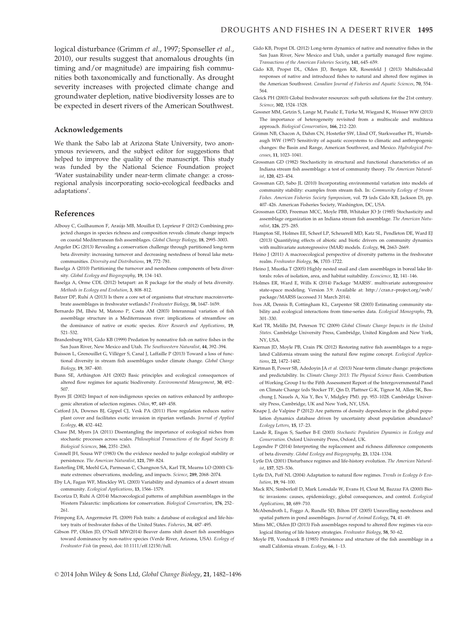logical disturbance (Grimm et al., 1997; Sponseller et al., 2010), our results suggest that anomalous droughts (in timing and/or magnitude) are impairing fish communities both taxonomically and functionally. As drought severity increases with projected climate change and groundwater depletion, native biodiversity losses are to be expected in desert rivers of the American Southwest.

#### Acknowledgements

We thank the Sabo lab at Arizona State University, two anonymous reviewers, and the subject editor for suggestions that helped to improve the quality of the manuscript. This study was funded by the National Science Foundation project 'Water sustainability under near-term climate change: a crossregional analysis incorporating socio-ecological feedbacks and adaptations'.

### References

- Albouy C, Guilhaumon F, Araujo MB, Mouillot D, Leprieur F (2012) Combining pro jected changes in species richness and composition reveals climate change impacts on coastal Mediterranean fish assemblages. Global Change Biology, 18, 2995–3003.
- Angeler DG (2013) Revealing a conservation challenge through partitioned long-term beta diversity: increasing turnover and decreasing nestedness of boreal lake metacommunities. Diversity and Distributions, 19, 772–781.
- Baselga A (2010) Partitioning the turnover and nestedness components of beta diversity. Global Ecology and Biogeography, 19, 134–143.
- Baselga A, Orme CDL (2012) betapart: an R package for the study of beta diversity. Methods in Ecology and Evolution, 3, 808–812.
- Batzer DP, Ruhí A (2013) Is there a core set of organisms that structure macroinvertebrate assemblages in freshwater wetlands? Freshwater Biology, 58, 1647–1659.
- Bernardo JM, Ilheu M, Matono P, Costa AM (2003) Interannual variation of fish assemblage structure in a Mediterranean river: implications of streamflow on the dominance of native or exotic species. River Research and Applications, 19, 521–532.
- Brandenburg WH, Gido KB (1999) Predation by nonnative fish on native fishes in the San Juan River, New Mexico and Utah. The Southwestern Naturalist, 44, 392–394.
- Buisson L, Grenouillet G, Villéger S, Canal J, Laffaille P (2013) Toward a loss of functional diversity in stream fish assemblages under climate change. Global Change Biology, 19, 387–400.
- Bunn SE, Arthington AH (2002) Basic principles and ecological consequences of altered flow regimes for aquatic biodiversity. Environmental Management, 30, 492– 507.
- Byers JE (2002) Impact of non-indigenous species on natives enhanced by anthropogenic alteration of selection regimes. Oikos, 97, 449–458.
- Catford JA, Downes BJ, Gippel CJ, Vesk PA (2011) Flow regulation reduces native plant cover and facilitates exotic invasion in riparian wetlands. Journal of Applied Ecology, 48, 432–442.
- Chase JM, Myers JA (2011) Disentangling the importance of ecological niches from stochastic processes across scales. Philosophical Transactions of the Royal Society B: Biological Sciences, 366, 2351–2363.
- Connell JH, Sousa WP (1983) On the evidence needed to judge ecological stability or persistence. The American Naturalist, 121, 789–824.
- Easterling DR, Meehl GA, Parmesan C, Changnon SA, Karl TR, Mearns LO (2000) Climate extremes: observations, modeling, and impacts. Science, 289, 2068–2074.
- Eby LA, Fagan WF, Minckley WL (2003) Variability and dynamics of a desert stream community. Ecological Applications, 13, 1566–1579.
- Escoriza D, Ruhı A (2014) Macroecological patterns of amphibian assemblages in the Western Palearctic: implications for conservation. Biological Conservation, 176, 252– 261.
- Frimpong EA, Angermeier PL (2009) Fish traits: a database of ecological and life-history traits of freshwater fishes of the United States. Fisheries, 34, 487–495.
- Gibson PP, Olden JD, O'Neill MW(2014) Beaver dams shift desert fish assemblages toward dominance by non-native species (Verde River, Arizona, USA). Ecology of Freshwater Fish (in press), doi: 10.1111/eff.12150/full.
- Gido KB, Propst DL (2012) Long-term dynamics of native and nonnative fishes in the San Juan River, New Mexico and Utah, under a partially managed flow regime. Transactions of the American Fisheries Society, 141, 645–659.
- Gido KB, Propst DL, Olden JD, Bestgen KR, Rosenfeld J (2013) Multidecadal responses of native and introduced fishes to natural and altered flow regimes in the American Southwest. Canadian Journal of Fisheries and Aquatic Sciences, 70, 554– 564.
- Gleick PH (2003) Global freshwater resources: soft-path solutions for the 21st century. Science, 302, 1524–1528.
- Gossner MM, Getzin S, Lange M, Pašalić E, Türke M, Wiegand K, Weisser WW (2013) The importance of heterogeneity revisited from a multiscale and multitaxa approach. Biological Conservation, 166, 212–220.
- Grimm NB, Chacon A, Dahm CN, Hostetler SW, Llind OT, Starkweather PL, Wurtsbaugh WW (1997) Sensitivity of aquatic ecosystems to climatic and anthropogenic changes: the Basin and Range, American Southwest, and Mexico. Hydrological Processes, 11, 1023–1041.
- Grossman GD (1982) Stochasticity in structural and functional characteristics of an Indiana stream fish assemblage: a test of community theory. The American Naturalist, 120, 423–454.
- Grossman GD, Sabo JL (2010) Incorporating environmental variation into models of community stability: examples from stream fish. In: Community Ecology of Stream Fishes. American Fisheries Society Symposium, vol. 73 (eds Gido KB, Jackson D), pp. 407–426. American Fisheries Society, Washington, DC, USA.
- Grossman GDD, Freeman MCC, Moyle PBB, Whitaker JO Jr (1985) Stochasticity and assemblage organization in an Indiana stream fish assemblage. The American Naturalist, 126, 275–285.
- Hampton SE, Holmes EE, Scheef LP, Scheuerell MD, Katz SL, Pendleton DE, Ward EJ (2013) Quantifying effects of abiotic and biotic drivers on community dynamics with multivariate autoregressive (MAR) models. Ecology, 94, 2663–2669.
- Heino J (2011) A macroecological perspective of diversity patterns in the freshwater realm. Freshwater Biology, 56, 1703–1722.
- Heino J, Muotka T (2005) Highly nested snail and clam assemblages in boreal lake littorals: roles of isolation, area, and habitat suitability. Ecoscience, 12, 141–146.
- Holmes ER, Ward E, Wills K (2014) Package 'MARSS'. multivariate autoregressive state-space modeling. Version 3.9. Available at: http://cran.r–project.org/web/ package/MARSS (accessed 31 March 2014).
- Ives AR, Dennis B, Cottingham KL, Carpenter SR (2003) Estimating community stability and ecological interactions from time-series data. Ecological Monographs, 73, 301–330.
- Karl TR, Melillo JM, Peterson TC (2009) Global Climate Change Impacts in the United States. Cambridge University Press, Cambridge, United Kingdom and New York, NY, USA.
- Kiernan JD, Moyle PB, Crain PK (2012) Restoring native fish assemblages to a regulated California stream using the natural flow regime concept. Ecological Applications, 22, 1472–1482.
- Kirtman B, Power SB, Adedoyin JA et al. (2013) Near-term climate change: projections and predictability. In: Climate Change 2013: The Physical Science Basis. Contribution of Working Group I to the Fifth Assessment Report of the Intergovernmental Panel on Climate Change (eds Stocker TF, Qin D, Plattner G-K, Tignor M, Allen SK, Boschung J, Nauels A, Xia Y, Bex V, Midgley PM). pp. 953–1028. Cambridge University Press, Cambridge, UK and New York, NY, USA.
- Knape J, de Valpine P (2012) Are patterns of density dependence in the global population dynamics database driven by uncertainty about population abundance? Ecology Letters, 15, 17–23.
- Lande R, Engen S, Saether B-E (2003) Stochastic Population Dynamics in Ecology and Conservation. Oxford University Press, Oxford, UK.
- Legendre P (2014) Interpreting the replacement and richness difference components of beta diversity. Global Ecology and Biogeography, 23, 1324–1334.
- Lytle DA (2001) Disturbance regimes and life-history evolution. The American Naturalist, 157, 525–536.
- Lytle DA, Poff NL (2004) Adaptation to natural flow regimes. Trends in Ecology & Evolution, **19**, 94-100.
- Mack RN, Simberloff D, Mark Lonsdale W, Evans H, Clout M, Bazzaz FA (2000) Biotic invasions: causes, epidemiology, global consequences, and control. Ecological Applications, 10, 689–710.
- McAbendroth L, Foggo A, Rundle SD, Bilton DT (2005) Unravelling nestedness and spatial pattern in pond assemblages. Journal of Animal Ecology, 74, 41-49.
- Mims MC, Olden JD (2013) Fish assemblages respond to altered flow regimes via ecological filtering of life history strategies. Freshwater Biology, 58, 50–62.
- Moyle PB, Vondracek B (1985) Persistence and structure of the fish assemblage in a small California stream. Ecology, 66, 1–13.